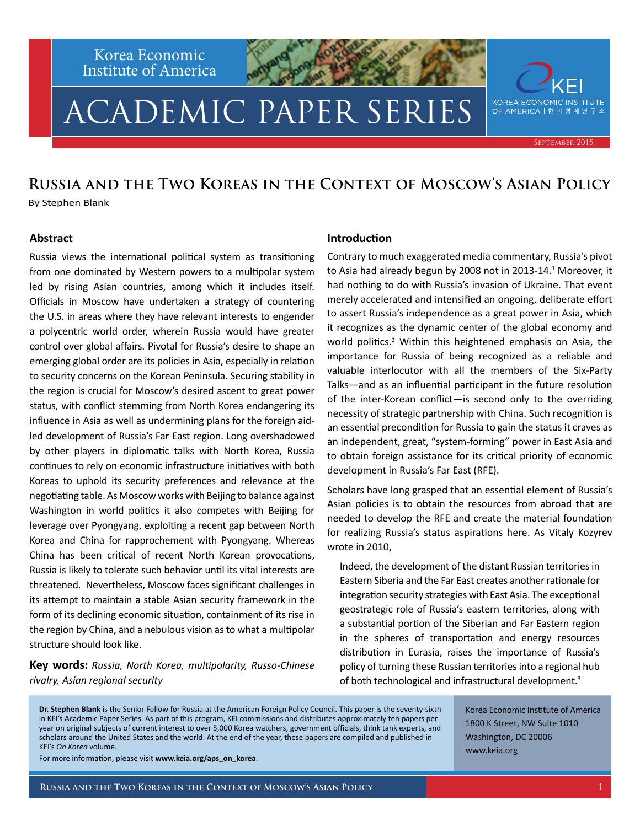Korea Economic Institute of America

# ACADEMIC PAPER SERIES

September 2015

KOREA ECONOMIC INSTITUTE OF AMERICA | 한 미 경 제 연 구

#### **Russia and the Two Koreas in the Context of Moscow's Asian Policy** By Stephen Blank

#### **Abstract**

Russia views the international political system as transitioning from one dominated by Western powers to a multipolar system led by rising Asian countries, among which it includes itself. Officials in Moscow have undertaken a strategy of countering the U.S. in areas where they have relevant interests to engender a polycentric world order, wherein Russia would have greater control over global affairs. Pivotal for Russia's desire to shape an emerging global order are its policies in Asia, especially in relation to security concerns on the Korean Peninsula. Securing stability in the region is crucial for Moscow's desired ascent to great power status, with conflict stemming from North Korea endangering its influence in Asia as well as undermining plans for the foreign aidled development of Russia's Far East region. Long overshadowed by other players in diplomatic talks with North Korea, Russia continues to rely on economic infrastructure initiatives with both Koreas to uphold its security preferences and relevance at the negotiating table. As Moscow works with Beijing to balance against Washington in world politics it also competes with Beijing for leverage over Pyongyang, exploiting a recent gap between North Korea and China for rapprochement with Pyongyang. Whereas China has been critical of recent North Korean provocations, Russia is likely to tolerate such behavior until its vital interests are threatened. Nevertheless, Moscow faces significant challenges in its attempt to maintain a stable Asian security framework in the form of its declining economic situation, containment of its rise in the region by China, and a nebulous vision as to what a multipolar structure should look like.

**Key words:** *Russia, North Korea, multipolarity, Russo-Chinese rivalry, Asian regional security*

#### **Introduction**

Contrary to much exaggerated media commentary, Russia's pivot to Asia had already begun by 2008 not in 2013-14.<sup>1</sup> Moreover, it had nothing to do with Russia's invasion of Ukraine. That event merely accelerated and intensified an ongoing, deliberate effort to assert Russia's independence as a great power in Asia, which it recognizes as the dynamic center of the global economy and world politics.<sup>2</sup> Within this heightened emphasis on Asia, the importance for Russia of being recognized as a reliable and valuable interlocutor with all the members of the Six-Party Talks—and as an influential participant in the future resolution of the inter-Korean conflict—is second only to the overriding necessity of strategic partnership with China. Such recognition is an essential precondition for Russia to gain the status it craves as an independent, great, "system-forming" power in East Asia and to obtain foreign assistance for its critical priority of economic development in Russia's Far East (RFE).

Scholars have long grasped that an essential element of Russia's Asian policies is to obtain the resources from abroad that are needed to develop the RFE and create the material foundation for realizing Russia's status aspirations here. As Vitaly Kozyrev wrote in 2010,

Indeed, the development of the distant Russian territories in Eastern Siberia and the Far East creates another rationale for integration security strategies with East Asia. The exceptional geostrategic role of Russia's eastern territories, along with a substantial portion of the Siberian and Far Eastern region in the spheres of transportation and energy resources distribution in Eurasia, raises the importance of Russia's policy of turning these Russian territories into a regional hub of both technological and infrastructural development.<sup>3</sup>

**Dr. Stephen Blank** is the Senior Fellow for Russia at the American Foreign Policy Council. This paper is the seventy-sixth in KEI's Academic Paper Series. As part of this program, KEI commissions and distributes approximately ten papers per year on original subjects of current interest to over 5,000 Korea watchers, government officials, think tank experts, and scholars around the United States and the world. At the end of the year, these papers are compiled and published in KEI's *On Korea* volume.

For more information, please visit **www.keia.org/aps\_on\_korea**.

Korea Economic Institute of America 1800 K Street, NW Suite 1010 Washington, DC 20006 www.keia.org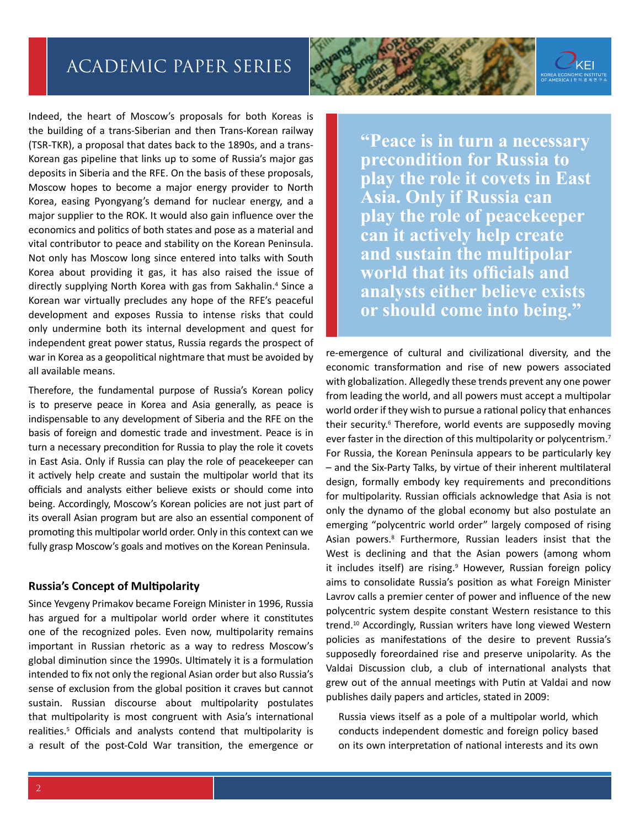Indeed, the heart of Moscow's proposals for both Koreas is the building of a trans-Siberian and then Trans-Korean railway (TSR-TKR), a proposal that dates back to the 1890s, and a trans-Korean gas pipeline that links up to some of Russia's major gas deposits in Siberia and the RFE. On the basis of these proposals, Moscow hopes to become a major energy provider to North Korea, easing Pyongyang's demand for nuclear energy, and a major supplier to the ROK. It would also gain influence over the economics and politics of both states and pose as a material and vital contributor to peace and stability on the Korean Peninsula. Not only has Moscow long since entered into talks with South Korea about providing it gas, it has also raised the issue of directly supplying North Korea with gas from Sakhalin.<sup>4</sup> Since a Korean war virtually precludes any hope of the RFE's peaceful development and exposes Russia to intense risks that could only undermine both its internal development and quest for independent great power status, Russia regards the prospect of war in Korea as a geopolitical nightmare that must be avoided by all available means.

Therefore, the fundamental purpose of Russia's Korean policy is to preserve peace in Korea and Asia generally, as peace is indispensable to any development of Siberia and the RFE on the basis of foreign and domestic trade and investment. Peace is in turn a necessary precondition for Russia to play the role it covets in East Asia. Only if Russia can play the role of peacekeeper can it actively help create and sustain the multipolar world that its officials and analysts either believe exists or should come into being. Accordingly, Moscow's Korean policies are not just part of its overall Asian program but are also an essential component of promoting this multipolar world order. Only in this context can we fully grasp Moscow's goals and motives on the Korean Peninsula.

#### **Russia's Concept of Multipolarity**

Since Yevgeny Primakov became Foreign Minister in 1996, Russia has argued for a multipolar world order where it constitutes one of the recognized poles. Even now, multipolarity remains important in Russian rhetoric as a way to redress Moscow's global diminution since the 1990s. Ultimately it is a formulation intended to fix not only the regional Asian order but also Russia's sense of exclusion from the global position it craves but cannot sustain. Russian discourse about multipolarity postulates that multipolarity is most congruent with Asia's international realities.<sup>5</sup> Officials and analysts contend that multipolarity is a result of the post-Cold War transition, the emergence or



**"Peace is in turn a necessary precondition for Russia to play the role it covets in East Asia. Only if Russia can play the role of peacekeeper can it actively help create and sustain the multipolar world that its officials and analysts either believe exists or should come into being."**

re-emergence of cultural and civilizational diversity, and the economic transformation and rise of new powers associated with globalization. Allegedly these trends prevent any one power from leading the world, and all powers must accept a multipolar world order if they wish to pursue a rational policy that enhances their security.<sup>6</sup> Therefore, world events are supposedly moving ever faster in the direction of this multipolarity or polycentrism.<sup>7</sup> For Russia, the Korean Peninsula appears to be particularly key – and the Six-Party Talks, by virtue of their inherent multilateral design, formally embody key requirements and preconditions for multipolarity. Russian officials acknowledge that Asia is not only the dynamo of the global economy but also postulate an emerging "polycentric world order" largely composed of rising Asian powers.<sup>8</sup> Furthermore, Russian leaders insist that the West is declining and that the Asian powers (among whom it includes itself) are rising.<sup>9</sup> However, Russian foreign policy aims to consolidate Russia's position as what Foreign Minister Lavrov calls a premier center of power and influence of the new polycentric system despite constant Western resistance to this trend.10 Accordingly, Russian writers have long viewed Western policies as manifestations of the desire to prevent Russia's supposedly foreordained rise and preserve unipolarity. As the Valdai Discussion club, a club of international analysts that grew out of the annual meetings with Putin at Valdai and now publishes daily papers and articles, stated in 2009:

Russia views itself as a pole of a multipolar world, which conducts independent domestic and foreign policy based on its own interpretation of national interests and its own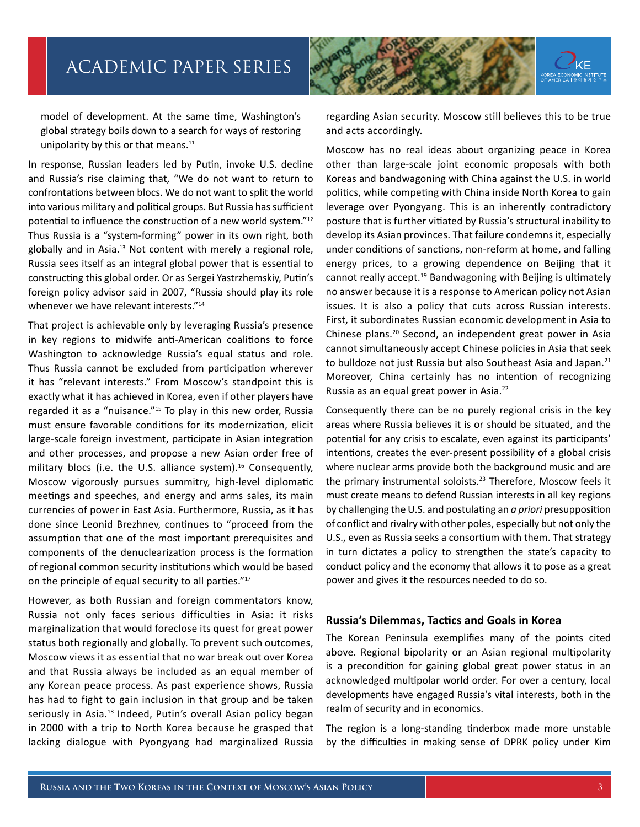

model of development. At the same time, Washington's global strategy boils down to a search for ways of restoring unipolarity by this or that means.<sup>11</sup>

In response, Russian leaders led by Putin, invoke U.S. decline and Russia's rise claiming that, "We do not want to return to confrontations between blocs. We do not want to split the world into various military and political groups. But Russia has sufficient potential to influence the construction of a new world system."12 Thus Russia is a "system-forming" power in its own right, both globally and in Asia.13 Not content with merely a regional role, Russia sees itself as an integral global power that is essential to constructing this global order. Or as Sergei Yastrzhemskiy, Putin's foreign policy advisor said in 2007, "Russia should play its role whenever we have relevant interests."<sup>14</sup>

That project is achievable only by leveraging Russia's presence in key regions to midwife anti-American coalitions to force Washington to acknowledge Russia's equal status and role. Thus Russia cannot be excluded from participation wherever it has "relevant interests." From Moscow's standpoint this is exactly what it has achieved in Korea, even if other players have regarded it as a "nuisance."15 To play in this new order, Russia must ensure favorable conditions for its modernization, elicit large-scale foreign investment, participate in Asian integration and other processes, and propose a new Asian order free of military blocs (i.e. the U.S. alliance system). $16$  Consequently, Moscow vigorously pursues summitry, high-level diplomatic meetings and speeches, and energy and arms sales, its main currencies of power in East Asia. Furthermore, Russia, as it has done since Leonid Brezhnev, continues to "proceed from the assumption that one of the most important prerequisites and components of the denuclearization process is the formation of regional common security institutions which would be based on the principle of equal security to all parties."17

However, as both Russian and foreign commentators know, Russia not only faces serious difficulties in Asia: it risks marginalization that would foreclose its quest for great power status both regionally and globally. To prevent such outcomes, Moscow views it as essential that no war break out over Korea and that Russia always be included as an equal member of any Korean peace process. As past experience shows, Russia has had to fight to gain inclusion in that group and be taken seriously in Asia.<sup>18</sup> Indeed, Putin's overall Asian policy began in 2000 with a trip to North Korea because he grasped that lacking dialogue with Pyongyang had marginalized Russia

regarding Asian security. Moscow still believes this to be true and acts accordingly.

Moscow has no real ideas about organizing peace in Korea other than large-scale joint economic proposals with both Koreas and bandwagoning with China against the U.S. in world politics, while competing with China inside North Korea to gain leverage over Pyongyang. This is an inherently contradictory posture that is further vitiated by Russia's structural inability to develop its Asian provinces. That failure condemns it, especially under conditions of sanctions, non-reform at home, and falling energy prices, to a growing dependence on Beijing that it cannot really accept.19 Bandwagoning with Beijing is ultimately no answer because it is a response to American policy not Asian issues. It is also a policy that cuts across Russian interests. First, it subordinates Russian economic development in Asia to Chinese plans.20 Second, an independent great power in Asia cannot simultaneously accept Chinese policies in Asia that seek to bulldoze not just Russia but also Southeast Asia and Japan.<sup>21</sup> Moreover, China certainly has no intention of recognizing Russia as an equal great power in Asia.22

Consequently there can be no purely regional crisis in the key areas where Russia believes it is or should be situated, and the potential for any crisis to escalate, even against its participants' intentions, creates the ever-present possibility of a global crisis where nuclear arms provide both the background music and are the primary instrumental soloists.<sup>23</sup> Therefore, Moscow feels it must create means to defend Russian interests in all key regions by challenging the U.S. and postulating an *a priori* presupposition of conflict and rivalry with other poles, especially but not only the U.S., even as Russia seeks a consortium with them. That strategy in turn dictates a policy to strengthen the state's capacity to conduct policy and the economy that allows it to pose as a great power and gives it the resources needed to do so.

#### **Russia's Dilemmas, Tactics and Goals in Korea**

The Korean Peninsula exemplifies many of the points cited above. Regional bipolarity or an Asian regional multipolarity is a precondition for gaining global great power status in an acknowledged multipolar world order. For over a century, local developments have engaged Russia's vital interests, both in the realm of security and in economics.

The region is a long-standing tinderbox made more unstable by the difficulties in making sense of DPRK policy under Kim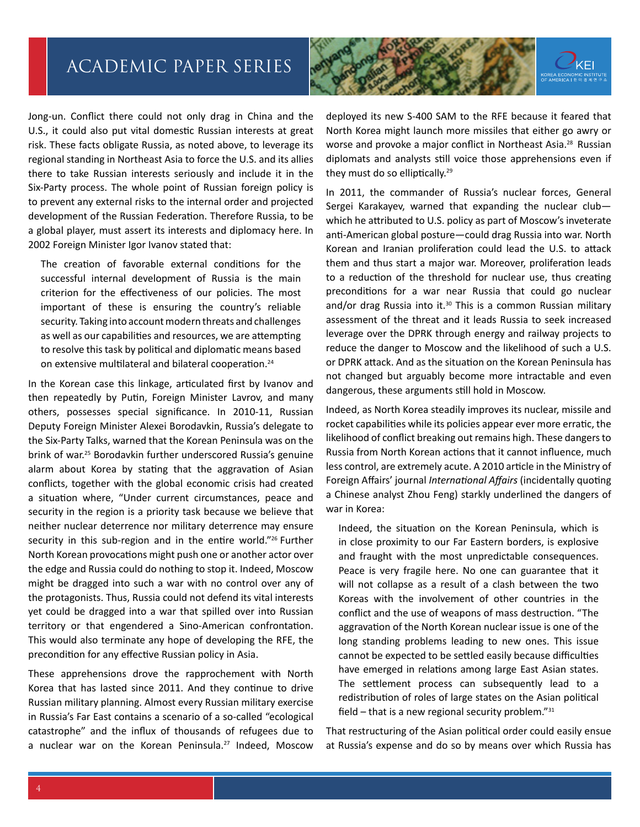

Jong-un. Conflict there could not only drag in China and the U.S., it could also put vital domestic Russian interests at great risk. These facts obligate Russia, as noted above, to leverage its regional standing in Northeast Asia to force the U.S. and its allies there to take Russian interests seriously and include it in the Six-Party process. The whole point of Russian foreign policy is to prevent any external risks to the internal order and projected development of the Russian Federation. Therefore Russia, to be a global player, must assert its interests and diplomacy here. In 2002 Foreign Minister Igor Ivanov stated that:

The creation of favorable external conditions for the successful internal development of Russia is the main criterion for the effectiveness of our policies. The most important of these is ensuring the country's reliable security. Taking into account modern threats and challenges as well as our capabilities and resources, we are attempting to resolve this task by political and diplomatic means based on extensive multilateral and bilateral cooperation.<sup>24</sup>

In the Korean case this linkage, articulated first by Ivanov and then repeatedly by Putin, Foreign Minister Lavrov, and many others, possesses special significance. In 2010-11, Russian Deputy Foreign Minister Alexei Borodavkin, Russia's delegate to the Six-Party Talks, warned that the Korean Peninsula was on the brink of war.25 Borodavkin further underscored Russia's genuine alarm about Korea by stating that the aggravation of Asian conflicts, together with the global economic crisis had created a situation where, "Under current circumstances, peace and security in the region is a priority task because we believe that neither nuclear deterrence nor military deterrence may ensure security in this sub-region and in the entire world."<sup>26</sup> Further North Korean provocations might push one or another actor over the edge and Russia could do nothing to stop it. Indeed, Moscow might be dragged into such a war with no control over any of the protagonists. Thus, Russia could not defend its vital interests yet could be dragged into a war that spilled over into Russian territory or that engendered a Sino-American confrontation. This would also terminate any hope of developing the RFE, the precondition for any effective Russian policy in Asia.

These apprehensions drove the rapprochement with North Korea that has lasted since 2011. And they continue to drive Russian military planning. Almost every Russian military exercise in Russia's Far East contains a scenario of a so-called "ecological catastrophe" and the influx of thousands of refugees due to a nuclear war on the Korean Peninsula.<sup>27</sup> Indeed, Moscow

deployed its new S-400 SAM to the RFE because it feared that North Korea might launch more missiles that either go awry or worse and provoke a major conflict in Northeast Asia.<sup>28</sup> Russian diplomats and analysts still voice those apprehensions even if they must do so elliptically.<sup>29</sup>

In 2011, the commander of Russia's nuclear forces, General Sergei Karakayev, warned that expanding the nuclear club which he attributed to U.S. policy as part of Moscow's inveterate anti-American global posture—could drag Russia into war. North Korean and Iranian proliferation could lead the U.S. to attack them and thus start a major war. Moreover, proliferation leads to a reduction of the threshold for nuclear use, thus creating preconditions for a war near Russia that could go nuclear and/or drag Russia into it. $30$  This is a common Russian military assessment of the threat and it leads Russia to seek increased leverage over the DPRK through energy and railway projects to reduce the danger to Moscow and the likelihood of such a U.S. or DPRK attack. And as the situation on the Korean Peninsula has not changed but arguably become more intractable and even dangerous, these arguments still hold in Moscow.

Indeed, as North Korea steadily improves its nuclear, missile and rocket capabilities while its policies appear ever more erratic, the likelihood of conflict breaking out remains high. These dangers to Russia from North Korean actions that it cannot influence, much less control, are extremely acute. A 2010 article in the Ministry of Foreign Affairs' journal *International Affairs* (incidentally quoting a Chinese analyst Zhou Feng) starkly underlined the dangers of war in Korea:

Indeed, the situation on the Korean Peninsula, which is in close proximity to our Far Eastern borders, is explosive and fraught with the most unpredictable consequences. Peace is very fragile here. No one can guarantee that it will not collapse as a result of a clash between the two Koreas with the involvement of other countries in the conflict and the use of weapons of mass destruction. "The aggravation of the North Korean nuclear issue is one of the long standing problems leading to new ones. This issue cannot be expected to be settled easily because difficulties have emerged in relations among large East Asian states. The settlement process can subsequently lead to a redistribution of roles of large states on the Asian political field  $-$  that is a new regional security problem." $31$ 

That restructuring of the Asian political order could easily ensue at Russia's expense and do so by means over which Russia has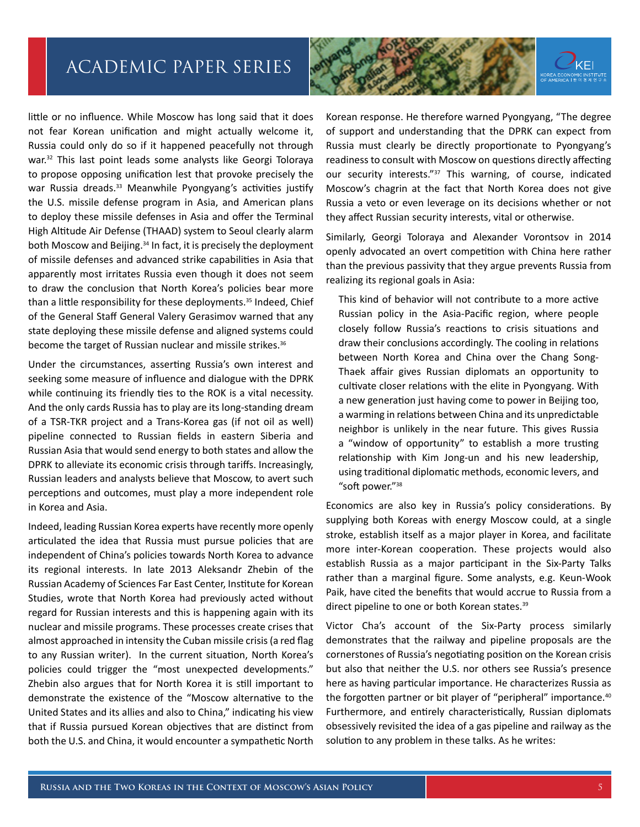

little or no influence. While Moscow has long said that it does not fear Korean unification and might actually welcome it, Russia could only do so if it happened peacefully not through war.<sup>32</sup> This last point leads some analysts like Georgi Toloraya to propose opposing unification lest that provoke precisely the war Russia dreads.<sup>33</sup> Meanwhile Pyongyang's activities justify the U.S. missile defense program in Asia, and American plans to deploy these missile defenses in Asia and offer the Terminal High Altitude Air Defense (THAAD) system to Seoul clearly alarm both Moscow and Beijing.<sup>34</sup> In fact, it is precisely the deployment of missile defenses and advanced strike capabilities in Asia that apparently most irritates Russia even though it does not seem to draw the conclusion that North Korea's policies bear more than a little responsibility for these deployments.<sup>35</sup> Indeed, Chief of the General Staff General Valery Gerasimov warned that any state deploying these missile defense and aligned systems could become the target of Russian nuclear and missile strikes.<sup>36</sup>

Under the circumstances, asserting Russia's own interest and seeking some measure of influence and dialogue with the DPRK while continuing its friendly ties to the ROK is a vital necessity. And the only cards Russia has to play are its long-standing dream of a TSR-TKR project and a Trans-Korea gas (if not oil as well) pipeline connected to Russian fields in eastern Siberia and Russian Asia that would send energy to both states and allow the DPRK to alleviate its economic crisis through tariffs. Increasingly, Russian leaders and analysts believe that Moscow, to avert such perceptions and outcomes, must play a more independent role in Korea and Asia.

Indeed, leading Russian Korea experts have recently more openly articulated the idea that Russia must pursue policies that are independent of China's policies towards North Korea to advance its regional interests. In late 2013 Aleksandr Zhebin of the Russian Academy of Sciences Far East Center, Institute for Korean Studies, wrote that North Korea had previously acted without regard for Russian interests and this is happening again with its nuclear and missile programs. These processes create crises that almost approached in intensity the Cuban missile crisis (a red flag to any Russian writer). In the current situation, North Korea's policies could trigger the "most unexpected developments." Zhebin also argues that for North Korea it is still important to demonstrate the existence of the "Moscow alternative to the United States and its allies and also to China," indicating his view that if Russia pursued Korean objectives that are distinct from both the U.S. and China, it would encounter a sympathetic North

Korean response. He therefore warned Pyongyang, "The degree of support and understanding that the DPRK can expect from Russia must clearly be directly proportionate to Pyongyang's readiness to consult with Moscow on questions directly affecting our security interests."<sup>37</sup> This warning, of course, indicated Moscow's chagrin at the fact that North Korea does not give Russia a veto or even leverage on its decisions whether or not they affect Russian security interests, vital or otherwise.

Similarly, Georgi Toloraya and Alexander Vorontsov in 2014 openly advocated an overt competition with China here rather than the previous passivity that they argue prevents Russia from realizing its regional goals in Asia:

This kind of behavior will not contribute to a more active Russian policy in the Asia-Pacific region, where people closely follow Russia's reactions to crisis situations and draw their conclusions accordingly. The cooling in relations between North Korea and China over the Chang Song-Thaek affair gives Russian diplomats an opportunity to cultivate closer relations with the elite in Pyongyang. With a new generation just having come to power in Beijing too, a warming in relations between China and its unpredictable neighbor is unlikely in the near future. This gives Russia a "window of opportunity" to establish a more trusting relationship with Kim Jong-un and his new leadership, using traditional diplomatic methods, economic levers, and "soft power."38

Economics are also key in Russia's policy considerations. By supplying both Koreas with energy Moscow could, at a single stroke, establish itself as a major player in Korea, and facilitate more inter-Korean cooperation. These projects would also establish Russia as a major participant in the Six-Party Talks rather than a marginal figure. Some analysts, e.g. Keun-Wook Paik, have cited the benefits that would accrue to Russia from a direct pipeline to one or both Korean states.39

Victor Cha's account of the Six-Party process similarly demonstrates that the railway and pipeline proposals are the cornerstones of Russia's negotiating position on the Korean crisis but also that neither the U.S. nor others see Russia's presence here as having particular importance. He characterizes Russia as the forgotten partner or bit player of "peripheral" importance.<sup>40</sup> Furthermore, and entirely characteristically, Russian diplomats obsessively revisited the idea of a gas pipeline and railway as the solution to any problem in these talks. As he writes: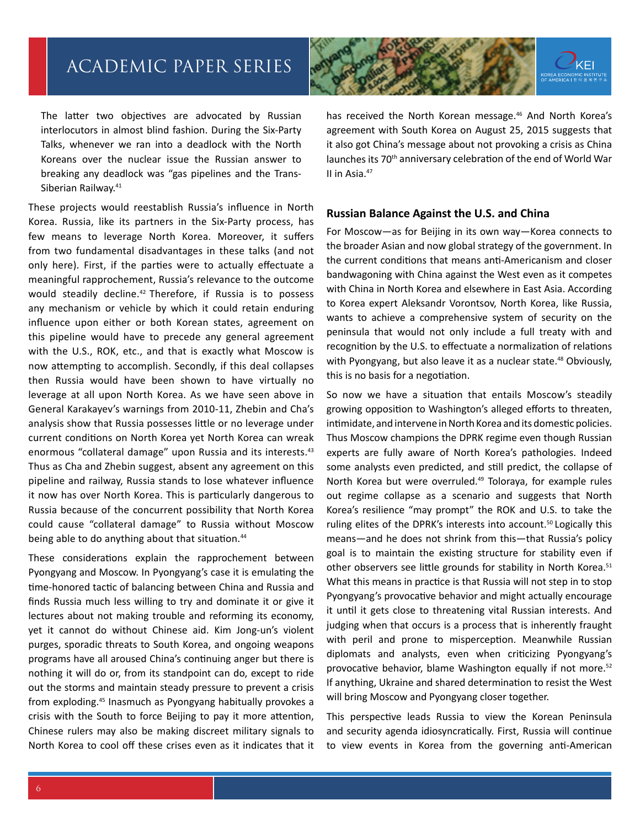

The latter two objectives are advocated by Russian interlocutors in almost blind fashion. During the Six-Party Talks, whenever we ran into a deadlock with the North Koreans over the nuclear issue the Russian answer to breaking any deadlock was "gas pipelines and the Trans-Siberian Railway.<sup>41</sup>

These projects would reestablish Russia's influence in North Korea. Russia, like its partners in the Six-Party process, has few means to leverage North Korea. Moreover, it suffers from two fundamental disadvantages in these talks (and not only here). First, if the parties were to actually effectuate a meaningful rapprochement, Russia's relevance to the outcome would steadily decline.<sup>42</sup> Therefore, if Russia is to possess any mechanism or vehicle by which it could retain enduring influence upon either or both Korean states, agreement on this pipeline would have to precede any general agreement with the U.S., ROK, etc., and that is exactly what Moscow is now attempting to accomplish. Secondly, if this deal collapses then Russia would have been shown to have virtually no leverage at all upon North Korea. As we have seen above in General Karakayev's warnings from 2010-11, Zhebin and Cha's analysis show that Russia possesses little or no leverage under current conditions on North Korea yet North Korea can wreak enormous "collateral damage" upon Russia and its interests.<sup>43</sup> Thus as Cha and Zhebin suggest, absent any agreement on this pipeline and railway, Russia stands to lose whatever influence it now has over North Korea. This is particularly dangerous to Russia because of the concurrent possibility that North Korea could cause "collateral damage" to Russia without Moscow being able to do anything about that situation.<sup>44</sup>

These considerations explain the rapprochement between Pyongyang and Moscow. In Pyongyang's case it is emulating the time-honored tactic of balancing between China and Russia and finds Russia much less willing to try and dominate it or give it lectures about not making trouble and reforming its economy, yet it cannot do without Chinese aid. Kim Jong-un's violent purges, sporadic threats to South Korea, and ongoing weapons programs have all aroused China's continuing anger but there is nothing it will do or, from its standpoint can do, except to ride out the storms and maintain steady pressure to prevent a crisis from exploding.45 Inasmuch as Pyongyang habitually provokes a crisis with the South to force Beijing to pay it more attention, Chinese rulers may also be making discreet military signals to North Korea to cool off these crises even as it indicates that it has received the North Korean message.<sup>46</sup> And North Korea's agreement with South Korea on August 25, 2015 suggests that it also got China's message about not provoking a crisis as China launches its 70<sup>th</sup> anniversary celebration of the end of World War II in Asia.47

#### **Russian Balance Against the U.S. and China**

For Moscow—as for Beijing in its own way—Korea connects to the broader Asian and now global strategy of the government. In the current conditions that means anti-Americanism and closer bandwagoning with China against the West even as it competes with China in North Korea and elsewhere in East Asia. According to Korea expert Aleksandr Vorontsov, North Korea, like Russia, wants to achieve a comprehensive system of security on the peninsula that would not only include a full treaty with and recognition by the U.S. to effectuate a normalization of relations with Pyongyang, but also leave it as a nuclear state.<sup>48</sup> Obviously, this is no basis for a negotiation.

So now we have a situation that entails Moscow's steadily growing opposition to Washington's alleged efforts to threaten, intimidate, and intervene in North Korea and its domestic policies. Thus Moscow champions the DPRK regime even though Russian experts are fully aware of North Korea's pathologies. Indeed some analysts even predicted, and still predict, the collapse of North Korea but were overruled.<sup>49</sup> Toloraya, for example rules out regime collapse as a scenario and suggests that North Korea's resilience "may prompt" the ROK and U.S. to take the ruling elites of the DPRK's interests into account.<sup>50</sup> Logically this means—and he does not shrink from this—that Russia's policy goal is to maintain the existing structure for stability even if other observers see little grounds for stability in North Korea.<sup>51</sup> What this means in practice is that Russia will not step in to stop Pyongyang's provocative behavior and might actually encourage it until it gets close to threatening vital Russian interests. And judging when that occurs is a process that is inherently fraught with peril and prone to misperception. Meanwhile Russian diplomats and analysts, even when criticizing Pyongyang's provocative behavior, blame Washington equally if not more.<sup>52</sup> If anything, Ukraine and shared determination to resist the West will bring Moscow and Pyongyang closer together.

This perspective leads Russia to view the Korean Peninsula and security agenda idiosyncratically. First, Russia will continue to view events in Korea from the governing anti-American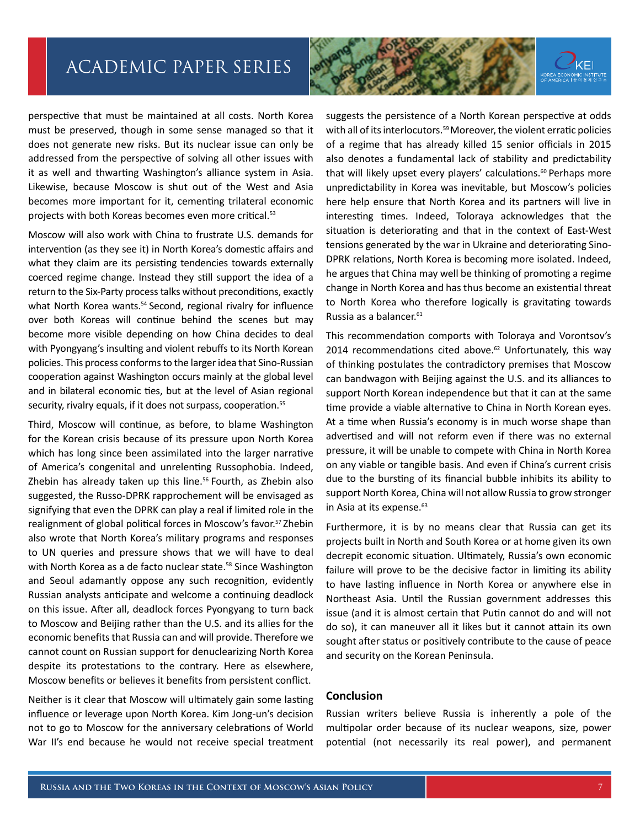perspective that must be maintained at all costs. North Korea must be preserved, though in some sense managed so that it does not generate new risks. But its nuclear issue can only be addressed from the perspective of solving all other issues with it as well and thwarting Washington's alliance system in Asia. Likewise, because Moscow is shut out of the West and Asia

Moscow will also work with China to frustrate U.S. demands for intervention (as they see it) in North Korea's domestic affairs and what they claim are its persisting tendencies towards externally coerced regime change. Instead they still support the idea of a return to the Six-Party process talks without preconditions, exactly what North Korea wants.<sup>54</sup> Second, regional rivalry for influence over both Koreas will continue behind the scenes but may become more visible depending on how China decides to deal with Pyongyang's insulting and violent rebuffs to its North Korean policies. This process conforms to the larger idea that Sino-Russian cooperation against Washington occurs mainly at the global level and in bilateral economic ties, but at the level of Asian regional security, rivalry equals, if it does not surpass, cooperation.<sup>55</sup>

becomes more important for it, cementing trilateral economic

projects with both Koreas becomes even more critical.53

Third, Moscow will continue, as before, to blame Washington for the Korean crisis because of its pressure upon North Korea which has long since been assimilated into the larger narrative of America's congenital and unrelenting Russophobia. Indeed, Zhebin has already taken up this line.<sup>56</sup> Fourth, as Zhebin also suggested, the Russo-DPRK rapprochement will be envisaged as signifying that even the DPRK can play a real if limited role in the realignment of global political forces in Moscow's favor.<sup>57</sup> Zhebin also wrote that North Korea's military programs and responses to UN queries and pressure shows that we will have to deal with North Korea as a de facto nuclear state.<sup>58</sup> Since Washington and Seoul adamantly oppose any such recognition, evidently Russian analysts anticipate and welcome a continuing deadlock on this issue. After all, deadlock forces Pyongyang to turn back to Moscow and Beijing rather than the U.S. and its allies for the economic benefits that Russia can and will provide. Therefore we cannot count on Russian support for denuclearizing North Korea despite its protestations to the contrary. Here as elsewhere, Moscow benefits or believes it benefits from persistent conflict.

Neither is it clear that Moscow will ultimately gain some lasting influence or leverage upon North Korea. Kim Jong-un's decision not to go to Moscow for the anniversary celebrations of World War II's end because he would not receive special treatment



This recommendation comports with Toloraya and Vorontsov's 2014 recommendations cited above. $62$  Unfortunately, this way of thinking postulates the contradictory premises that Moscow can bandwagon with Beijing against the U.S. and its alliances to support North Korean independence but that it can at the same time provide a viable alternative to China in North Korean eyes. At a time when Russia's economy is in much worse shape than advertised and will not reform even if there was no external pressure, it will be unable to compete with China in North Korea on any viable or tangible basis. And even if China's current crisis due to the bursting of its financial bubble inhibits its ability to support North Korea, China will not allow Russia to grow stronger in Asia at its expense.<sup>63</sup>

Furthermore, it is by no means clear that Russia can get its projects built in North and South Korea or at home given its own decrepit economic situation. Ultimately, Russia's own economic failure will prove to be the decisive factor in limiting its ability to have lasting influence in North Korea or anywhere else in Northeast Asia. Until the Russian government addresses this issue (and it is almost certain that Putin cannot do and will not do so), it can maneuver all it likes but it cannot attain its own sought after status or positively contribute to the cause of peace and security on the Korean Peninsula.

#### **Conclusion**

Russian writers believe Russia is inherently a pole of the multipolar order because of its nuclear weapons, size, power potential (not necessarily its real power), and permanent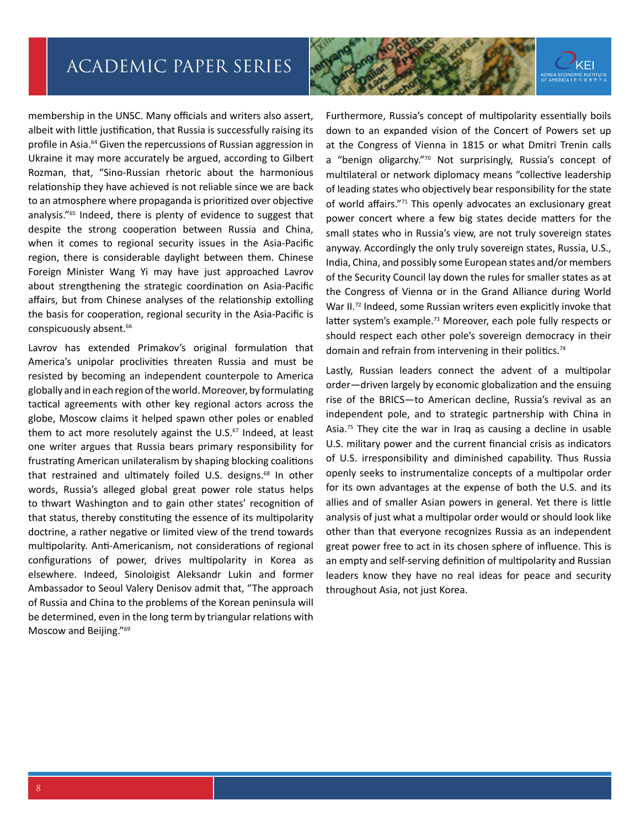

membership in the UNSC. Many officials and writers also assert, albeit with little justification, that Russia is successfully raising its profile in Asia.<sup>64</sup> Given the repercussions of Russian aggression in Ukraine it may more accurately be argued, according to Gilbert Rozman, that, "Sino-Russian rhetoric about the harmonious relationship they have achieved is not reliable since we are back to an atmosphere where propaganda is prioritized over objective analysis."65 Indeed, there is plenty of evidence to suggest that despite the strong cooperation between Russia and China, when it comes to regional security issues in the Asia-Pacific region, there is considerable daylight between them. Chinese Foreign Minister Wang Yi may have just approached Lavrov about strengthening the strategic coordination on Asia-Pacific affairs, but from Chinese analyses of the relationship extolling the basis for cooperation, regional security in the Asia-Pacific is conspicuously absent.<sup>66</sup>

Lavrov has extended Primakov's original formulation that America's unipolar proclivities threaten Russia and must be resisted by becoming an independent counterpole to America globally and in each region of the world. Moreover, by formulating tactical agreements with other key regional actors across the globe, Moscow claims it helped spawn other poles or enabled them to act more resolutely against the  $U.S.^{67}$  Indeed, at least one writer argues that Russia bears primary responsibility for frustrating American unilateralism by shaping blocking coalitions that restrained and ultimately foiled U.S. designs.<sup>68</sup> In other words, Russia's alleged global great power role status helps to thwart Washington and to gain other states' recognition of that status, thereby constituting the essence of its multipolarity doctrine, a rather negative or limited view of the trend towards multipolarity. Anti-Americanism, not considerations of regional configurations of power, drives multipolarity in Korea as elsewhere. Indeed, Sinoloigist Aleksandr Lukin and former Ambassador to Seoul Valery Denisov admit that, "The approach of Russia and China to the problems of the Korean peninsula will be determined, even in the long term by triangular relations with Moscow and Beijing."69

Furthermore, Russia's concept of multipolarity essentially boils down to an expanded vision of the Concert of Powers set up at the Congress of Vienna in 1815 or what Dmitri Trenin calls a "benign oligarchy."<sup>70</sup> Not surprisingly, Russia's concept of multilateral or network diplomacy means "collective leadership of leading states who objectively bear responsibility for the state of world affairs."71 This openly advocates an exclusionary great power concert where a few big states decide matters for the small states who in Russia's view, are not truly sovereign states anyway. Accordingly the only truly sovereign states, Russia, U.S., India, China, and possibly some European states and/or members of the Security Council lay down the rules for smaller states as at the Congress of Vienna or in the Grand Alliance during World War II.<sup>72</sup> Indeed, some Russian writers even explicitly invoke that latter system's example.<sup>73</sup> Moreover, each pole fully respects or should respect each other pole's sovereign democracy in their domain and refrain from intervening in their politics.<sup>74</sup>

Lastly, Russian leaders connect the advent of a multipolar order—driven largely by economic globalization and the ensuing rise of the BRICS—to American decline, Russia's revival as an independent pole, and to strategic partnership with China in Asia.<sup>75</sup> They cite the war in Iraq as causing a decline in usable U.S. military power and the current financial crisis as indicators of U.S. irresponsibility and diminished capability. Thus Russia openly seeks to instrumentalize concepts of a multipolar order for its own advantages at the expense of both the U.S. and its allies and of smaller Asian powers in general. Yet there is little analysis of just what a multipolar order would or should look like other than that everyone recognizes Russia as an independent great power free to act in its chosen sphere of influence. This is an empty and self-serving definition of multipolarity and Russian leaders know they have no real ideas for peace and security throughout Asia, not just Korea.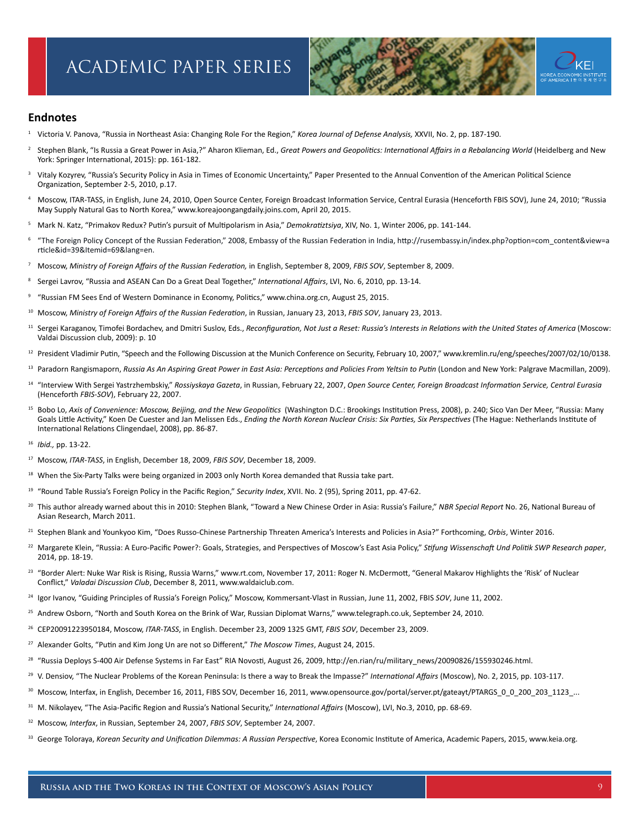

#### **Endnotes**

- <sup>1</sup> Victoria V. Panova, "Russia in Northeast Asia: Changing Role For the Region," *Korea Journal of Defense Analysis,* XXVII, No. 2, pp. 187-190.
- <sup>2</sup> Stephen Blank, "Is Russia a Great Power in Asia,?" Aharon Klieman, Ed., *Great Powers and Geopolitics: International Affairs in a Rebalancing World* (Heidelberg and New York: Springer International, 2015): pp. 161-182.
- <sup>3</sup> Vitaly Kozyrev, "Russia's Security Policy in Asia in Times of Economic Uncertainty," Paper Presented to the Annual Convention of the American Political Science Organization, September 2-5, 2010, p.17.
- <sup>4</sup> Moscow, ITAR-TASS, in English, June 24, 2010, Open Source Center, Foreign Broadcast Information Service, Central Eurasia (Henceforth FBIS SOV), June 24, 2010; "Russia May Supply Natural Gas to North Korea," www.koreajoongangdaily.joins.com, April 20, 2015.
- <sup>5</sup> Mark N. Katz, "Primakov Redux? Putin's pursuit of Multipolarism in Asia," *Demokratiztsiya*, XIV, No. 1, Winter 2006, pp. 141-144.
- <sup>6</sup> "The Foreign Policy Concept of the Russian Federation," 2008, Embassy of the Russian Federation in India, http://rusembassy.in/index.php?option=com\_content&view=a rticle&id=39&Itemid=69&lang=en.
- <sup>7</sup> Moscow, *Ministry of Foreign Affairs of the Russian Federation,* in English, September 8, 2009, *FBIS SOV*, September 8, 2009.
- <sup>8</sup> Sergei Lavrov, "Russia and ASEAN Can Do a Great Deal Together," *International Affairs*, LVI, No. 6, 2010, pp. 13-14.
- <sup>9</sup> "Russian FM Sees End of Western Dominance in Economy, Politics," [www.china.org.cn,](http://www.chain.org.cn) August 25, 2015.
- <sup>10</sup> Moscow, *Ministry of Foreign Affairs of the Russian Federation*, in Russian, January 23, 2013, *FBIS SOV*, January 23, 2013.
- <sup>11</sup> Sergei Karaganov, Timofei Bordachev, and Dmitri Suslov, Eds., *Reconfiguration, Not Just a Reset: Russia's Interests in Relations with the United States of America* (Moscow: Valdai Discussion club, 2009): p. 10
- <sup>12</sup> President Vladimir Putin, "Speech and the Following Discussion at the Munich Conference on Security, February 10, 2007," www.kremlin.ru/eng/speeches/2007/02/10/0138.
- <sup>13</sup> Paradorn Rangismaporn, *Russia As An Aspiring Great Power in East Asia: Perceptions and Policies From Yeltsin to Putin (London and New York: Palgrave Macmillan, 2009).*
- <sup>14</sup> "Interview With Sergei Yastrzhembskiy," *Rossiyskaya Gazeta*, in Russian, February 22, 2007, *Open Source Center, Foreign Broadcast Information Service, Central Eurasia* (Henceforth *FBIS-SOV*), February 22, 2007.
- <sup>15</sup> Bobo Lo, Axis of Convenience: Moscow, Beijing, and the New Geopolitics (Washington D.C.: Brookings Institution Press, 2008), p. 240; Sico Van Der Meer, "Russia: Many Goals Little Activity," Koen De Cuester and Jan Melissen Eds., *Ending the North Korean Nuclear Crisis: Six Parties, Six Perspectives* (The Hague: Netherlands Institute of International Relations Clingendael, 2008), pp. 86-87.
- <sup>16</sup> *Ibid.,* pp. 13-22.
- <sup>17</sup> Moscow, *ITAR-TASS*, in English, December 18, 2009, *FBIS SOV*, December 18, 2009.
- <sup>18</sup> When the Six-Party Talks were being organized in 2003 only North Korea demanded that Russia take part.
- <sup>19</sup> "Round Table Russia's Foreign Policy in the Pacific Region," *Security Index*, XVII. No. 2 (95), Spring 2011, pp. 47-62.
- <sup>20</sup> This author already warned about this in 2010: Stephen Blank, "Toward a New Chinese Order in Asia: Russia's Failure," *NBR Special Report* No. 26, National Bureau of Asian Research, March 2011.
- <sup>21</sup> Stephen Blank and Younkyoo Kim, "Does Russo-Chinese Partnership Threaten America's Interests and Policies in Asia?" Forthcoming, *Orbis*, Winter 2016.
- <sup>22</sup> Margarete Klein, "Russia: A Euro-Pacific Power?: Goals, Strategies, and Perspectives of Moscow's East Asia Policy," *Stifung Wissenschaft Und Politik SWP Research paper*, 2014, pp. 18-19.
- <sup>23</sup> "Border Alert: Nuke War Risk is Rising, Russia Warns," [www.rt.com](http://www.rt.com), November 17, 2011: Roger N. McDermott, "General Makarov Highlights the 'Risk' of Nuclear Conflict," *Valadai Discussion Club*, December 8, 2011, www.waldaiclub.com.
- <sup>24</sup> Igor Ivanov, "Guiding Principles of Russia's Foreign Policy," Moscow, Kommersant-Vlast in Russian, June 11, 2002, FBIS *SOV*, June 11, 2002.
- <sup>25</sup> Andrew Osborn, "North and South Korea on the Brink of War, Russian Diplomat Warns," www.tele[graph.co.uk,](http://www.telgraph.co.uk) September 24, 2010.
- <sup>26</sup> CEP20091223950184, Moscow, *ITAR-TASS*, in English. December 23, 2009 1325 GMT, *FBIS SOV*, December 23, 2009.
- <sup>27</sup> Alexander Golts, "Putin and Kim Jong Un are not so Different," *The Moscow Times*, August 24, 2015.
- <sup>28</sup> "Russia Deploys S-400 Air Defense Systems in Far East" RIA Novosti, August 26, 2009, [http://en.rian/ru/military\\_news/20090826/155930246.html](http://en.rian/ru/military_news/20090826/155930246.html).
- <sup>29</sup> V. Densiov, "The Nuclear Problems of the Korean Peninsula: Is there a way to Break the Impasse?" *International Affairs* (Moscow), No. 2, 2015, pp. 103-117.
- <sup>30</sup> Moscow, Interfax, in English, December 16, 2011, FIBS SOV, December 16, 2011, www.opensource.gov/portal/server.pt/gateayt/PTARGS 0 0 200 203 1123 ...
- <sup>31</sup> M. Nikolayev, "The Asia-Pacific Region and Russia's National Security," *International Affairs* (Moscow), LVI, No.3, 2010, pp. 68-69.
- <sup>32</sup> Moscow, *Interfax*, in Russian, September 24, 2007, *FBIS SOV*, September 24, 2007.
- <sup>33</sup> George Toloraya, *Korean Security and Unification Dilemmas: A Russian Perspective*, Korea Economic Institute of America, Academic Papers, 2015, www.keia.org.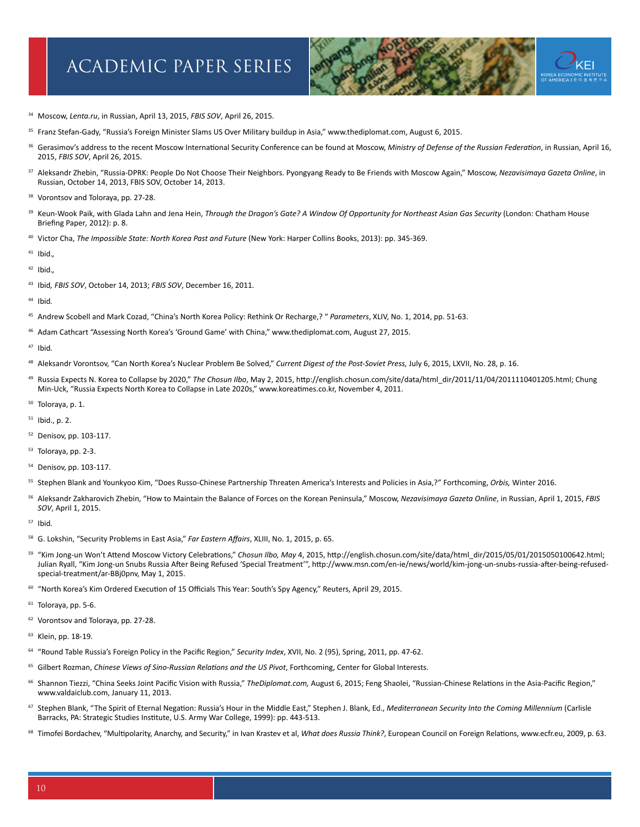

- Moscow, *Lenta.ru*, in Russian, April 13, 2015, *FBIS SOV*, April 26, 2015.
- <sup>35</sup> Franz Stefan-Gady, "Russia's Foreign Minister Slams US Over Military buildup in Asia," [www.thediplomat.com](http://www.thediplomat.com), August 6, 2015.
- Gerasimov's address to the recent Moscow International Security Conference can be found at Moscow, *Ministry of Defense of the Russian Federation*, in Russian, April 16, 2015, *FBIS SOV*, April 26, 2015.
- Aleksandr Zhebin, "Russia-DPRK: People Do Not Choose Their Neighbors. Pyongyang Ready to Be Friends with Moscow Again," Moscow, *Nezavisimaya Gazeta Online*, in Russian, October 14, 2013, FBIS SOV, October 14, 2013.
- 38 Vorontsov and Toloraya, pp. 27-28.
- Keun-Wook Paik, with Glada Lahn and Jena Hein, *Through the Dragon's Gate? A Window Of Opportunity for Northeast Asian Gas Security* (London: Chatham House Briefing Paper*,* 2012): p. 8.
- Victor Cha, *The Impossible State: North Korea Past and Future* (New York: Harper Collins Books, 2013): pp. 345-369.
- Ibid.*,*
- Ibid.*,*
- Ibid*, FBIS SOV*, October 14, 2013; *FBIS SOV*, December 16, 2011.
- Ibid*.*
- Andrew Scobell and Mark Cozad, "China's North Korea Policy: Rethink Or Recharge,? " *Parameters*, XLIV, No. 1, 2014, pp. 51-63.
- Adam Cathcart "Assessing North Korea's 'Ground Game' with China," [www.thediplomat.com,](http://www.thediplomat.com) August 27, 2015.
- Ibid*.*
- Aleksandr Vorontsov, "Can North Korea's Nuclear Problem Be Solved," *Current Digest of the Post-Soviet Press,* July 6, 2015, LXVII, No. 28, p. 16.
- Russia Expects N. Korea to Collapse by 2020," *The Chosun Ilbo*, May 2, 2015, [http://english.chosun.com/site/data/html\\_dir/2011/11/04/2011110401205.html;](http://english.chosun.com/site/data/html_dir/2011/11/04/2011110401205.html) Chung Min-Uck, "Russia Expects North Korea to Collapse in Late 2020s," [www.koreatimes.co.kr](http://www.koreatimes.co.kr), November 4, 2011.
- Toloraya, p. 1.
- Ibid., p. 2.
- Denisov, pp. 103-117.
- Toloraya, pp. 2-3.
- Denisov, pp. 103-117.
- Stephen Blank and Younkyoo Kim, "Does Russo-Chinese Partnership Threaten America's Interests and Policies in Asia,?" Forthcoming, *Orbis,* Winter 2016.
- Aleksandr Zakharovich Zhebin, "How to Maintain the Balance of Forces on the Korean Peninsula," Moscow, *Nezavisimaya Gazeta Online*, in Russian, April 1, 2015, *FBIS SOV*, April 1, 2015.
- Ibid*.*
- G. Lokshin, "Security Problems in East Asia," *Far Eastern Affairs*, XLIII, No. 1, 2015, p. 65.
- <sup>59</sup> "Kim Jong-un Won't Attend Moscow Victory Celebrations," Chosun Ilbo, May 4, 2015, http://english.chosun.com/site/data/html dir/2015/05/01/2015050100642.html; Julian Ryall, "Kim Jong-un Snubs Russia After Being Refused 'Special Treatment'", [http://www.msn.com/en-ie/news/world/kim-jong-un-snubs-russia-after-being-refused](http://www.msn.com/en-ie/news/world/kim-jong-un-snubs-russia-after-being-refused-special-treatment/ar-BBj0pnv)[special-treatment/ar-BBj0pnv](http://www.msn.com/en-ie/news/world/kim-jong-un-snubs-russia-after-being-refused-special-treatment/ar-BBj0pnv), May 1, 2015.
- <sup>60</sup> "North Korea's Kim Ordered Execution of 15 Officials This Year: South's Spy Agency," Reuters, April 29, 2015.
- Toloraya, pp. 5-6.
- <sup>62</sup> Vorontsov and Toloraya, pp. 27-28.
- Klein, pp. 18-19.
- "Round Table Russia's Foreign Policy in the Pacific Region," *Security Index*, XVII, No. 2 (95), Spring, 2011, pp. 47-62.
- Gilbert Rozman, *Chinese Views of Sino-Russian Relations and the US Pivot*, Forthcoming, Center for Global Interests.
- Shannon Tiezzi, "China Seeks Joint Pacific Vision with Russia," *TheDiplomat.com,* August 6, 2015; Feng Shaolei, "Russian-Chinese Relations in the Asia-Pacific Region," [www.valdaiclub.com](http://www.valdaiclub.com), January 11, 2013.
- Stephen Blank, "The Spirit of Eternal Negation: Russia's Hour in the Middle East," Stephen J. Blank, Ed., *Mediterranean Security Into the Coming Millennium* (Carlisle Barracks, PA: Strategic Studies Institute, U.S. Army War College, 1999): pp. 443-513.
- <sup>68</sup> Timofei Bordachev, "Multipolarity, Anarchy, and Security," in Ivan Krastev et al, What does Russia Think?, European Council on Foreign Relations, [www.ecfr.eu,](http://www.ecfr.eu) 2009, p. 63.